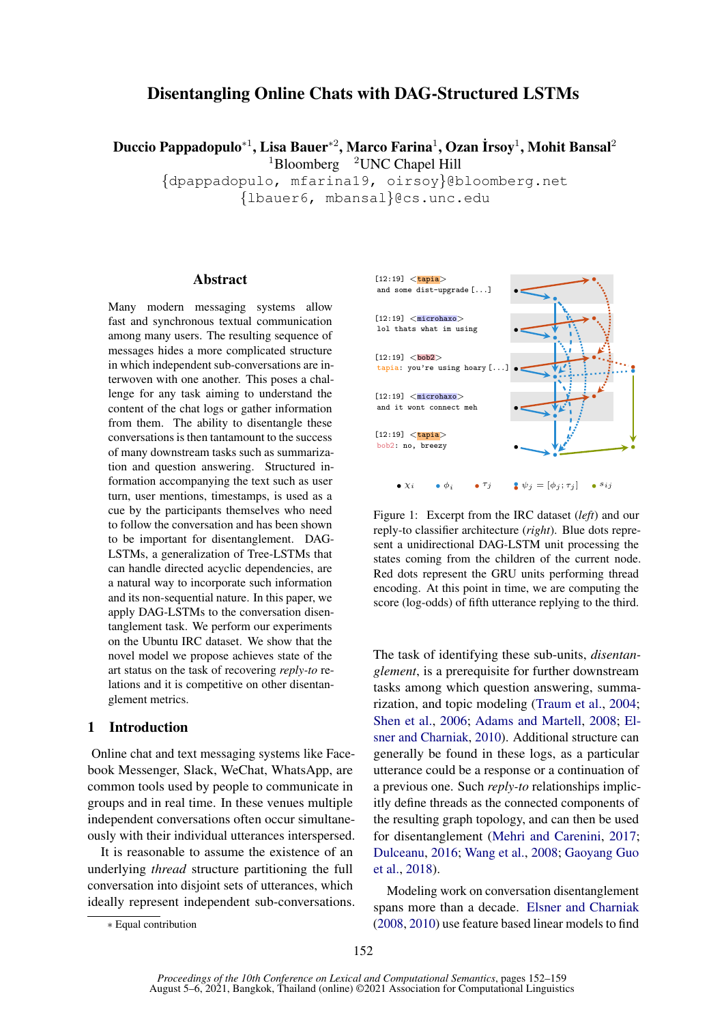# Disentangling Online Chats with DAG-Structured LSTMs

Duccio Pappadopulo\* $^1$ , Lisa Bauer\* $^2$ , Marco Farina $^1$ , Ozan İrsoy $^1$ , Mohit Bansal $^2$  $1B$ loomberg  $2$ UNC Chapel Hill

{dpappadopulo, mfarina19, oirsoy}@bloomberg.net

{lbauer6, mbansal}@cs.unc.edu

# Abstract

Many modern messaging systems allow fast and synchronous textual communication among many users. The resulting sequence of messages hides a more complicated structure in which independent sub-conversations are interwoven with one another. This poses a challenge for any task aiming to understand the content of the chat logs or gather information from them. The ability to disentangle these conversations is then tantamount to the success of many downstream tasks such as summarization and question answering. Structured information accompanying the text such as user turn, user mentions, timestamps, is used as a cue by the participants themselves who need to follow the conversation and has been shown to be important for disentanglement. DAG-LSTMs, a generalization of Tree-LSTMs that can handle directed acyclic dependencies, are a natural way to incorporate such information and its non-sequential nature. In this paper, we apply DAG-LSTMs to the conversation disentanglement task. We perform our experiments on the Ubuntu IRC dataset. We show that the novel model we propose achieves state of the art status on the task of recovering *reply-to* relations and it is competitive on other disentanglement metrics.

### 1 Introduction

Online chat and text messaging systems like Facebook Messenger, Slack, WeChat, WhatsApp, are common tools used by people to communicate in groups and in real time. In these venues multiple independent conversations often occur simultaneously with their individual utterances interspersed.

It is reasonable to assume the existence of an underlying *thread* structure partitioning the full conversation into disjoint sets of utterances, which ideally represent independent sub-conversations.

<span id="page-0-0"></span>

Figure 1: Excerpt from the IRC dataset (*left*) and our reply-to classifier architecture (*right*). Blue dots represent a unidirectional DAG-LSTM unit processing the states coming from the children of the current node. Red dots represent the GRU units performing thread encoding. At this point in time, we are computing the score (log-odds) of fifth utterance replying to the third.

The task of identifying these sub-units, *disentanglement*, is a prerequisite for further downstream tasks among which question answering, summarization, and topic modeling [\(Traum et al.,](#page-5-0) [2004;](#page-5-0) [Shen et al.,](#page-5-1) [2006;](#page-5-1) [Adams and Martell,](#page-4-0) [2008;](#page-4-0) [El](#page-4-1)[sner and Charniak,](#page-4-1) [2010\)](#page-4-1). Additional structure can generally be found in these logs, as a particular utterance could be a response or a continuation of a previous one. Such *reply-to* relationships implicitly define threads as the connected components of the resulting graph topology, and can then be used for disentanglement [\(Mehri and Carenini,](#page-5-2) [2017;](#page-5-2) [Dulceanu,](#page-4-2) [2016;](#page-4-2) [Wang et al.,](#page-5-3) [2008;](#page-5-3) [Gaoyang Guo](#page-4-3) [et al.,](#page-4-3) [2018\)](#page-4-3).

Modeling work on conversation disentanglement spans more than a decade. [Elsner and Charniak](#page-4-4) [\(2008,](#page-4-4) [2010\)](#page-4-1) use feature based linear models to find

<sup>∗</sup> Equal contribution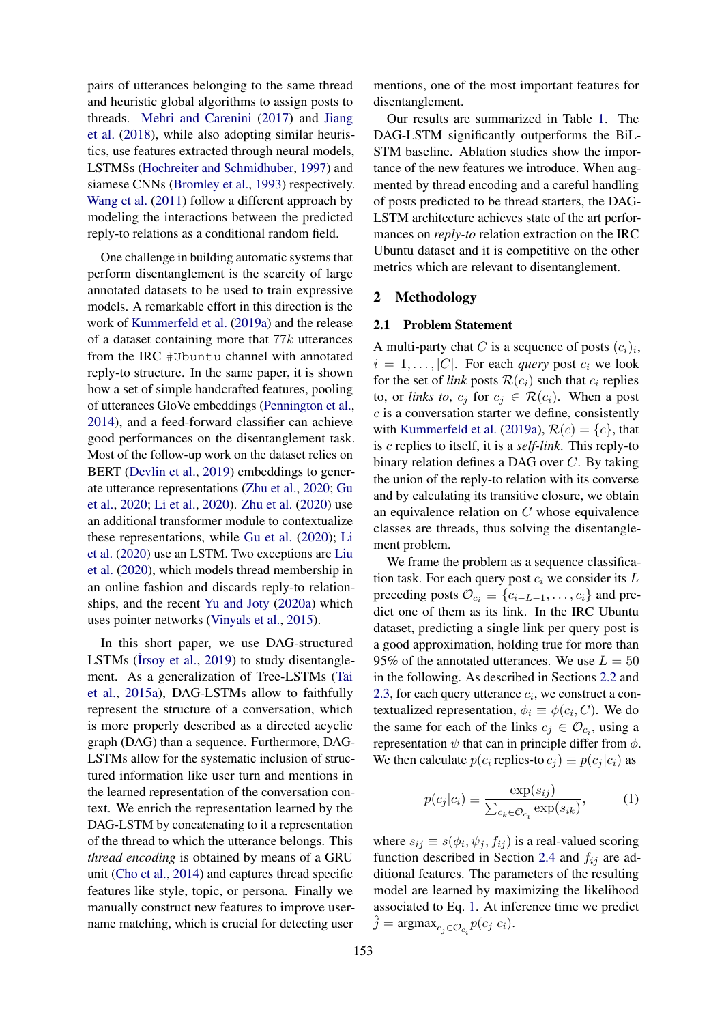pairs of utterances belonging to the same thread and heuristic global algorithms to assign posts to threads. [Mehri and Carenini](#page-5-2) [\(2017\)](#page-5-2) and [Jiang](#page-4-5) [et al.](#page-4-5) [\(2018\)](#page-4-5), while also adopting similar heuristics, use features extracted through neural models, LSTMSs [\(Hochreiter and Schmidhuber,](#page-4-6) [1997\)](#page-4-6) and siamese CNNs [\(Bromley et al.,](#page-4-7) [1993\)](#page-4-7) respectively. [Wang et al.](#page-5-4) [\(2011\)](#page-5-4) follow a different approach by modeling the interactions between the predicted reply-to relations as a conditional random field.

One challenge in building automatic systems that perform disentanglement is the scarcity of large annotated datasets to be used to train expressive models. A remarkable effort in this direction is the work of [Kummerfeld et al.](#page-5-5) [\(2019a\)](#page-5-5) and the release of a dataset containing more that  $77k$  utterances from the IRC #Ubuntu channel with annotated reply-to structure. In the same paper, it is shown how a set of simple handcrafted features, pooling of utterances GloVe embeddings [\(Pennington et al.,](#page-5-6) [2014\)](#page-5-6), and a feed-forward classifier can achieve good performances on the disentanglement task. Most of the follow-up work on the dataset relies on BERT [\(Devlin et al.,](#page-4-8) [2019\)](#page-4-8) embeddings to generate utterance representations [\(Zhu et al.,](#page-5-7) [2020;](#page-5-7) [Gu](#page-4-9) [et al.,](#page-4-9) [2020;](#page-4-9) [Li et al.,](#page-5-8) [2020\)](#page-5-8). [Zhu et al.](#page-5-7) [\(2020\)](#page-5-7) use an additional transformer module to contextualize these representations, while [Gu et al.](#page-4-9) [\(2020\)](#page-4-9); [Li](#page-5-8) [et al.](#page-5-8) [\(2020\)](#page-5-8) use an LSTM. Two exceptions are [Liu](#page-5-9) [et al.](#page-5-9) [\(2020\)](#page-5-9), which models thread membership in an online fashion and discards reply-to relationships, and the recent [Yu and Joty](#page-5-10) [\(2020a\)](#page-5-10) which uses pointer networks [\(Vinyals et al.,](#page-5-11) [2015\)](#page-5-11).

In this short paper, we use DAG-structured LSTMs ( $\text{l}$ rsoy et al., [2019\)](#page-5-12) to study disentanglement. As a generalization of Tree-LSTMs [\(Tai](#page-5-13) [et al.,](#page-5-13) [2015a\)](#page-5-13), DAG-LSTMs allow to faithfully represent the structure of a conversation, which is more properly described as a directed acyclic graph (DAG) than a sequence. Furthermore, DAG-LSTMs allow for the systematic inclusion of structured information like user turn and mentions in the learned representation of the conversation context. We enrich the representation learned by the DAG-LSTM by concatenating to it a representation of the thread to which the utterance belongs. This *thread encoding* is obtained by means of a GRU unit [\(Cho et al.,](#page-4-10) [2014\)](#page-4-10) and captures thread specific features like style, topic, or persona. Finally we manually construct new features to improve username matching, which is crucial for detecting user

mentions, one of the most important features for disentanglement.

Our results are summarized in Table [1.](#page-3-0) The DAG-LSTM significantly outperforms the BiL-STM baseline. Ablation studies show the importance of the new features we introduce. When augmented by thread encoding and a careful handling of posts predicted to be thread starters, the DAG-LSTM architecture achieves state of the art performances on *reply-to* relation extraction on the IRC Ubuntu dataset and it is competitive on the other metrics which are relevant to disentanglement.

### <span id="page-1-1"></span>2 Methodology

#### 2.1 Problem Statement

A multi-party chat C is a sequence of posts  $(c_i)_i$ ,  $i = 1, \ldots, |C|$ . For each *query* post  $c_i$  we look for the set of *link* posts  $\mathcal{R}(c_i)$  such that  $c_i$  replies to, or *links to*,  $c_j$  for  $c_j \in \mathcal{R}(c_i)$ . When a post  $c$  is a conversation starter we define, consistently with [Kummerfeld et al.](#page-5-5) [\(2019a\)](#page-5-5),  $\mathcal{R}(c) = \{c\}$ , that is c replies to itself, it is a *self-link*. This reply-to binary relation defines a DAG over C. By taking the union of the reply-to relation with its converse and by calculating its transitive closure, we obtain an equivalence relation on C whose equivalence classes are threads, thus solving the disentanglement problem.

We frame the problem as a sequence classification task. For each query post  $c_i$  we consider its  $L$ preceding posts  $\mathcal{O}_{c_i} \equiv \{c_{i-L-1}, \ldots, c_i\}$  and predict one of them as its link. In the IRC Ubuntu dataset, predicting a single link per query post is a good approximation, holding true for more than 95% of the annotated utterances. We use  $L = 50$ in the following. As described in Sections [2.2](#page-2-0) and [2.3,](#page-2-1) for each query utterance  $c_i$ , we construct a contextualized representation,  $\phi_i \equiv \phi(c_i, C)$ . We do the same for each of the links  $c_j \in \mathcal{O}_{c_i}$ , using a representation  $\psi$  that can in principle differ from  $\phi$ . We then calculate  $p(c_i \text{ replies-to } c_j) \equiv p(c_j | c_i)$  as

<span id="page-1-0"></span>
$$
p(c_j|c_i) \equiv \frac{\exp(s_{ij})}{\sum_{c_k \in \mathcal{O}_{c_i}} \exp(s_{ik})},\tag{1}
$$

where  $s_{ij} \equiv s(\phi_i, \psi_j, f_{ij})$  is a real-valued scoring function described in Section [2.4](#page-2-2) and  $f_{ij}$  are additional features. The parameters of the resulting model are learned by maximizing the likelihood associated to Eq. [1.](#page-1-0) At inference time we predict  $\hat{j} = \text{argmax}_{c_j \in \mathcal{O}_{c_i}} p(c_j|c_i).$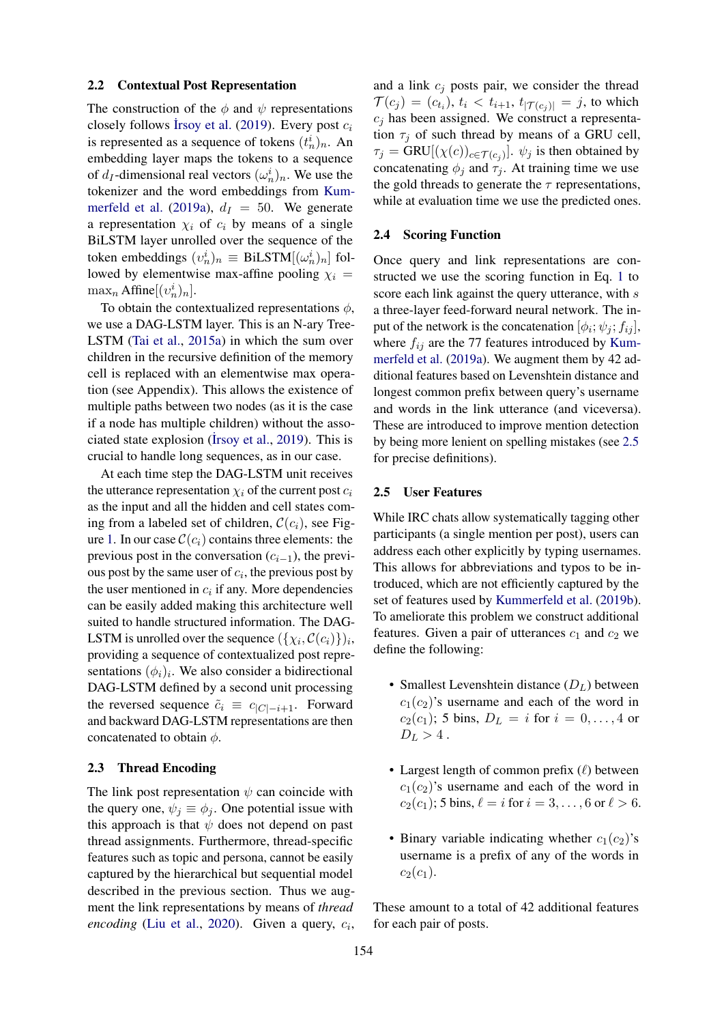#### <span id="page-2-0"></span>2.2 Contextual Post Representation

The construction of the  $\phi$  and  $\psi$  representations closely follows Irsoy et al. [\(2019\)](#page-5-12). Every post  $c_i$ is represented as a sequence of tokens  $(t_n^i)_n$ . An embedding layer maps the tokens to a sequence of  $d_I$ -dimensional real vectors  $(\omega_n^i)_n$ . We use the tokenizer and the word embeddings from [Kum](#page-5-5)[merfeld et al.](#page-5-5) [\(2019a\)](#page-5-5),  $d_I = 50$ . We generate a representation  $\chi_i$  of  $c_i$  by means of a single BiLSTM layer unrolled over the sequence of the token embeddings  $(v_n^i)_n \equiv \text{BiLSTM}[(\omega_n^i)_n]$  followed by elementwise max-affine pooling  $\chi_i$  =  $\max_n \text{Affine}[(v_n^i)_n].$ 

To obtain the contextualized representations  $\phi$ , we use a DAG-LSTM layer. This is an N-ary Tree-LSTM [\(Tai et al.,](#page-5-13) [2015a\)](#page-5-13) in which the sum over children in the recursive definition of the memory cell is replaced with an elementwise max operation (see Appendix). This allows the existence of multiple paths between two nodes (as it is the case if a node has multiple children) without the asso-ciated state explosion (Irsoy et al., [2019\)](#page-5-12). This is crucial to handle long sequences, as in our case.

At each time step the DAG-LSTM unit receives the utterance representation  $\chi_i$  of the current post  $c_i$ as the input and all the hidden and cell states coming from a labeled set of children,  $\mathcal{C}(c_i)$ , see Fig-ure [1.](#page-0-0) In our case  $\mathcal{C}(c_i)$  contains three elements: the previous post in the conversation  $(c_{i-1})$ , the previous post by the same user of  $c_i$ , the previous post by the user mentioned in  $c_i$  if any. More dependencies can be easily added making this architecture well suited to handle structured information. The DAG-LSTM is unrolled over the sequence  $(\{\chi_i, \mathcal{C}(c_i)\})_i$ , providing a sequence of contextualized post representations  $(\phi_i)_i$ . We also consider a bidirectional DAG-LSTM defined by a second unit processing the reversed sequence  $\tilde{c}_i \equiv c_{|C|-i+1}$ . Forward and backward DAG-LSTM representations are then concatenated to obtain  $\phi$ .

### <span id="page-2-1"></span>2.3 Thread Encoding

The link post representation  $\psi$  can coincide with the query one,  $\psi_i \equiv \phi_i$ . One potential issue with this approach is that  $\psi$  does not depend on past thread assignments. Furthermore, thread-specific features such as topic and persona, cannot be easily captured by the hierarchical but sequential model described in the previous section. Thus we augment the link representations by means of *thread encoding* [\(Liu et al.,](#page-5-9) [2020\)](#page-5-9). Given a query,  $c_i$ , and a link  $c_j$  posts pair, we consider the thread  $\mathcal{T}(c_j) = (c_{t_i}), t_i < t_{i+1}, t_{|\mathcal{T}(c_j)|} = j$ , to which  $c_i$  has been assigned. We construct a representation  $\tau_j$  of such thread by means of a GRU cell,  $\tau_j = \text{GRU}[(\chi(c))_{c \in \mathcal{T}(c_j)}].$   $\psi_j$  is then obtained by concatenating  $\phi_j$  and  $\tau_j$ . At training time we use the gold threads to generate the  $\tau$  representations, while at evaluation time we use the predicted ones.

#### <span id="page-2-2"></span>2.4 Scoring Function

Once query and link representations are constructed we use the scoring function in Eq. [1](#page-1-0) to score each link against the query utterance, with s a three-layer feed-forward neural network. The input of the network is the concatenation  $[\phi_i; \psi_j; f_{ij}]$ , where  $f_{ij}$  are the 77 features introduced by [Kum](#page-5-5)[merfeld et al.](#page-5-5) [\(2019a\)](#page-5-5). We augment them by 42 additional features based on Levenshtein distance and longest common prefix between query's username and words in the link utterance (and viceversa). These are introduced to improve mention detection by being more lenient on spelling mistakes (see [2.5](#page-2-3) for precise definitions).

#### <span id="page-2-3"></span>2.5 User Features

While IRC chats allow systematically tagging other participants (a single mention per post), users can address each other explicitly by typing usernames. This allows for abbreviations and typos to be introduced, which are not efficiently captured by the set of features used by [Kummerfeld et al.](#page-5-14) [\(2019b\)](#page-5-14). To ameliorate this problem we construct additional features. Given a pair of utterances  $c_1$  and  $c_2$  we define the following:

- Smallest Levenshtein distance  $(D_L)$  between  $c_1(c_2)$ 's username and each of the word in  $c_2(c_1)$ ; 5 bins,  $D_L = i$  for  $i = 0, ..., 4$  or  $D_L > 4$ .
- Largest length of common prefix  $(\ell)$  between  $c_1(c_2)$ 's username and each of the word in  $c_2(c_1)$ ; 5 bins,  $\ell = i$  for  $i = 3, ..., 6$  or  $\ell > 6$ .
- Binary variable indicating whether  $c_1(c_2)$ 's username is a prefix of any of the words in  $c_2(c_1)$ .

These amount to a total of 42 additional features for each pair of posts.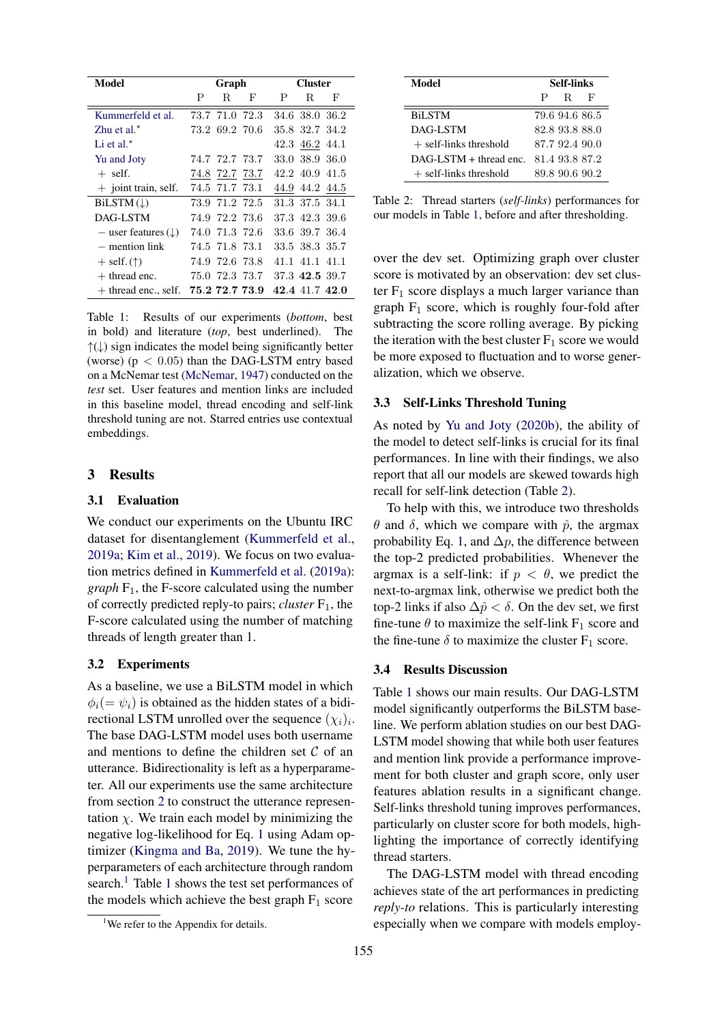<span id="page-3-0"></span>

| Model                              | Graph |                |   | <b>Cluster</b> |                |   |
|------------------------------------|-------|----------------|---|----------------|----------------|---|
|                                    | P     | R.             | F | Ρ              | R.             | F |
| Kummerfeld et al.                  |       | 73.7 71.0 72.3 |   |                | 34.6 38.0 36.2 |   |
| Zhu et al. $\star$                 |       | 73.2 69.2 70.6 |   |                | 35.8 32.7 34.2 |   |
| Li et al. $\star$                  |       |                |   |                | 42.3 46.2 44.1 |   |
| Yu and Joty                        |       | 74.7 72.7 73.7 |   |                | 33.0 38.9 36.0 |   |
| $+$ self.                          |       | 74.8 72.7 73.7 |   |                | 42.2 40.9 41.5 |   |
| $+$ joint train, self.             |       | 74.5 71.7 73.1 |   |                | 44.9 44.2 44.5 |   |
| $BiLSTM(\downarrow)$               |       | 73.9 71.2 72.5 |   |                | 31.3 37.5 34.1 |   |
| DAG-LSTM                           |       | 74.9 72.2 73.6 |   |                | 37.3 42.3 39.6 |   |
| $-$ user features ( $\downarrow$ ) |       | 74.0 71.3 72.6 |   |                | 33.6 39.7 36.4 |   |
| $-$ mention link                   |       | 74.5 71.8 73.1 |   |                | 33.5 38.3 35.7 |   |
| $+$ self. $(†)$                    |       | 74.9 72.6 73.8 |   |                | 41.1 41.1 41.1 |   |
| $+$ thread enc.                    |       | 75.0 72.3 73.7 |   |                | 37.3 42.5 39.7 |   |
| $+$ thread enc., self.             |       | 75.2 72.7 73.9 |   |                | 42.4 41.7 42.0 |   |

Table 1: Results of our experiments (*bottom*, best in bold) and literature (*top*, best underlined). The  $\uparrow(\downarrow)$  sign indicates the model being significantly better (worse) ( $p < 0.05$ ) than the DAG-LSTM entry based on a McNemar test [\(McNemar,](#page-5-15) [1947\)](#page-5-15) conducted on the *test* set. User features and mention links are included in this baseline model, thread encoding and self-link threshold tuning are not. Starred entries use contextual embeddings.

# 3 Results

#### 3.1 Evaluation

We conduct our experiments on the Ubuntu IRC dataset for disentanglement [\(Kummerfeld et al.,](#page-5-5) [2019a;](#page-5-5) [Kim et al.,](#page-4-11) [2019\)](#page-4-11). We focus on two evaluation metrics defined in [Kummerfeld et al.](#page-5-5) [\(2019a\)](#page-5-5): *graph*  $F_1$ , the F-score calculated using the number of correctly predicted reply-to pairs; *cluster* F1, the F-score calculated using the number of matching threads of length greater than 1.

### 3.2 Experiments

As a baseline, we use a BiLSTM model in which  $\phi_i(=\psi_i)$  is obtained as the hidden states of a bidirectional LSTM unrolled over the sequence  $(\chi_i)_i$ . The base DAG-LSTM model uses both username and mentions to define the children set  $C$  of an utterance. Bidirectionality is left as a hyperparameter. All our experiments use the same architecture from section [2](#page-1-1) to construct the utterance representation  $\chi$ . We train each model by minimizing the negative log-likelihood for Eq. [1](#page-1-0) using Adam optimizer [\(Kingma and Ba,](#page-5-16) [2019\)](#page-5-16). We tune the hyperparameters of each architecture through random search.<sup>[1](#page-3-0)</sup> Table 1 shows the test set performances of the models which achieve the best graph  $F_1$  score

<span id="page-3-2"></span>

| Model                    | Self-links |                |   |
|--------------------------|------------|----------------|---|
|                          | P          | R.             | F |
| <b>BiLSTM</b>            |            | 79.6 94.6 86.5 |   |
| DAG-LSTM                 |            | 82.8 93.8 88.0 |   |
| $+$ self-links threshold |            | 87.7 92.4 90.0 |   |
| $DAG-LSTM + thread$ enc. |            | 81.4 93.8 87.2 |   |
| $+$ self-links threshold |            | 89.8 90.6 90.2 |   |

Table 2: Thread starters (*self-links*) performances for our models in Table [1,](#page-3-0) before and after thresholding.

over the dev set. Optimizing graph over cluster score is motivated by an observation: dev set cluster  $F_1$  score displays a much larger variance than graph  $F_1$  score, which is roughly four-fold after subtracting the score rolling average. By picking the iteration with the best cluster  $F_1$  score we would be more exposed to fluctuation and to worse generalization, which we observe.

#### 3.3 Self-Links Threshold Tuning

As noted by [Yu and Joty](#page-5-17) [\(2020b\)](#page-5-17), the ability of the model to detect self-links is crucial for its final performances. In line with their findings, we also report that all our models are skewed towards high recall for self-link detection (Table [2\)](#page-3-2).

To help with this, we introduce two thresholds  $θ$  and  $δ$ , which we compare with  $\hat{p}$ , the argmax probability Eq. [1,](#page-1-0) and  $\Delta p$ , the difference between the top-2 predicted probabilities. Whenever the argmax is a self-link: if  $p < \theta$ , we predict the next-to-argmax link, otherwise we predict both the top-2 links if also  $\Delta \hat{p} < \delta$ . On the dev set, we first fine-tune  $\theta$  to maximize the self-link  $F_1$  score and the fine-tune  $\delta$  to maximize the cluster  $F_1$  score.

# 3.4 Results Discussion

Table [1](#page-3-0) shows our main results. Our DAG-LSTM model significantly outperforms the BiLSTM baseline. We perform ablation studies on our best DAG-LSTM model showing that while both user features and mention link provide a performance improvement for both cluster and graph score, only user features ablation results in a significant change. Self-links threshold tuning improves performances, particularly on cluster score for both models, highlighting the importance of correctly identifying thread starters.

The DAG-LSTM model with thread encoding achieves state of the art performances in predicting *reply-to* relations. This is particularly interesting especially when we compare with models employ-

<span id="page-3-1"></span><sup>&</sup>lt;sup>1</sup>We refer to the Appendix for details.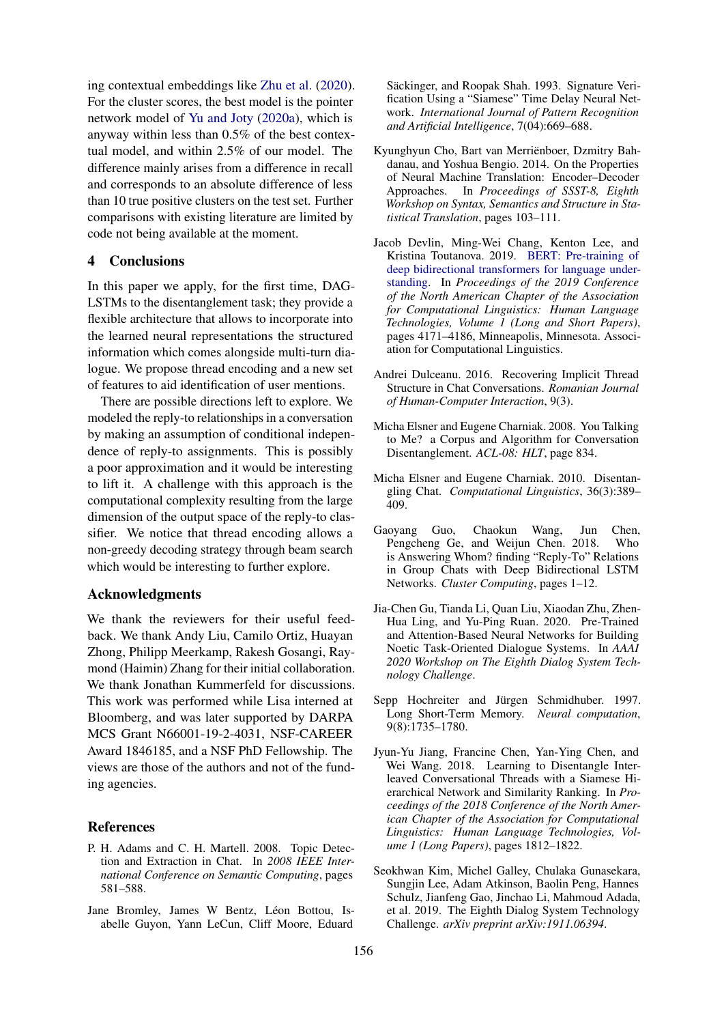ing contextual embeddings like [Zhu et al.](#page-5-7) [\(2020\)](#page-5-7). For the cluster scores, the best model is the pointer network model of [Yu and Joty](#page-5-10) [\(2020a\)](#page-5-10), which is anyway within less than 0.5% of the best contextual model, and within 2.5% of our model. The difference mainly arises from a difference in recall and corresponds to an absolute difference of less than 10 true positive clusters on the test set. Further comparisons with existing literature are limited by code not being available at the moment.

# 4 Conclusions

In this paper we apply, for the first time, DAG-LSTMs to the disentanglement task; they provide a flexible architecture that allows to incorporate into the learned neural representations the structured information which comes alongside multi-turn dialogue. We propose thread encoding and a new set of features to aid identification of user mentions.

There are possible directions left to explore. We modeled the reply-to relationships in a conversation by making an assumption of conditional independence of reply-to assignments. This is possibly a poor approximation and it would be interesting to lift it. A challenge with this approach is the computational complexity resulting from the large dimension of the output space of the reply-to classifier. We notice that thread encoding allows a non-greedy decoding strategy through beam search which would be interesting to further explore.

#### Acknowledgments

We thank the reviewers for their useful feedback. We thank Andy Liu, Camilo Ortiz, Huayan Zhong, Philipp Meerkamp, Rakesh Gosangi, Raymond (Haimin) Zhang for their initial collaboration. We thank Jonathan Kummerfeld for discussions. This work was performed while Lisa interned at Bloomberg, and was later supported by DARPA MCS Grant N66001-19-2-4031, NSF-CAREER Award 1846185, and a NSF PhD Fellowship. The views are those of the authors and not of the funding agencies.

### References

- <span id="page-4-0"></span>P. H. Adams and C. H. Martell. 2008. Topic Detection and Extraction in Chat. In *2008 IEEE International Conference on Semantic Computing*, pages 581–588.
- <span id="page-4-7"></span>Jane Bromley, James W Bentz, Léon Bottou, Isabelle Guyon, Yann LeCun, Cliff Moore, Eduard

Säckinger, and Roopak Shah. 1993. Signature Verification Using a "Siamese" Time Delay Neural Network. *International Journal of Pattern Recognition and Artificial Intelligence*, 7(04):669–688.

- <span id="page-4-10"></span>Kyunghyun Cho, Bart van Merrienboer, Dzmitry Bah- ¨ danau, and Yoshua Bengio. 2014. On the Properties of Neural Machine Translation: Encoder–Decoder Approaches. In *Proceedings of SSST-8, Eighth Workshop on Syntax, Semantics and Structure in Statistical Translation*, pages 103–111.
- <span id="page-4-8"></span>Jacob Devlin, Ming-Wei Chang, Kenton Lee, and Kristina Toutanova. 2019. [BERT: Pre-training of](https://doi.org/10.18653/v1/N19-1423) [deep bidirectional transformers for language under](https://doi.org/10.18653/v1/N19-1423)[standing.](https://doi.org/10.18653/v1/N19-1423) In *Proceedings of the 2019 Conference of the North American Chapter of the Association for Computational Linguistics: Human Language Technologies, Volume 1 (Long and Short Papers)*, pages 4171–4186, Minneapolis, Minnesota. Association for Computational Linguistics.
- <span id="page-4-2"></span>Andrei Dulceanu. 2016. Recovering Implicit Thread Structure in Chat Conversations. *Romanian Journal of Human-Computer Interaction*, 9(3).
- <span id="page-4-4"></span>Micha Elsner and Eugene Charniak. 2008. You Talking to Me? a Corpus and Algorithm for Conversation Disentanglement. *ACL-08: HLT*, page 834.
- <span id="page-4-1"></span>Micha Elsner and Eugene Charniak. 2010. Disentangling Chat. *Computational Linguistics*, 36(3):389– 409.
- <span id="page-4-3"></span>Gaoyang Guo, Chaokun Wang, Jun Chen, Pengcheng Ge, and Weijun Chen. 2018. Who is Answering Whom? finding "Reply-To" Relations in Group Chats with Deep Bidirectional LSTM Networks. *Cluster Computing*, pages 1–12.
- <span id="page-4-9"></span>Jia-Chen Gu, Tianda Li, Quan Liu, Xiaodan Zhu, Zhen-Hua Ling, and Yu-Ping Ruan. 2020. Pre-Trained and Attention-Based Neural Networks for Building Noetic Task-Oriented Dialogue Systems. In *AAAI 2020 Workshop on The Eighth Dialog System Technology Challenge*.
- <span id="page-4-6"></span>Sepp Hochreiter and Jürgen Schmidhuber. 1997. Long Short-Term Memory. *Neural computation*, 9(8):1735–1780.
- <span id="page-4-5"></span>Jyun-Yu Jiang, Francine Chen, Yan-Ying Chen, and Wei Wang. 2018. Learning to Disentangle Interleaved Conversational Threads with a Siamese Hierarchical Network and Similarity Ranking. In *Proceedings of the 2018 Conference of the North American Chapter of the Association for Computational Linguistics: Human Language Technologies, Volume 1 (Long Papers)*, pages 1812–1822.
- <span id="page-4-11"></span>Seokhwan Kim, Michel Galley, Chulaka Gunasekara, Sungjin Lee, Adam Atkinson, Baolin Peng, Hannes Schulz, Jianfeng Gao, Jinchao Li, Mahmoud Adada, et al. 2019. The Eighth Dialog System Technology Challenge. *arXiv preprint arXiv:1911.06394*.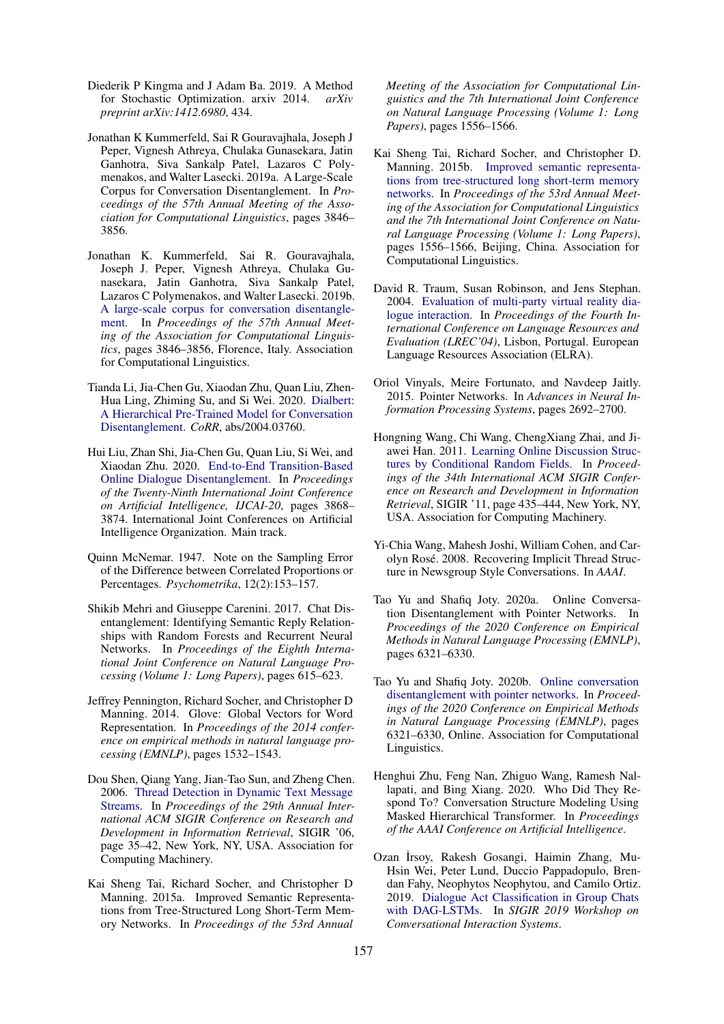- <span id="page-5-16"></span>Diederik P Kingma and J Adam Ba. 2019. A Method for Stochastic Optimization. arxiv 2014. *arXiv preprint arXiv:1412.6980*, 434.
- <span id="page-5-5"></span>Jonathan K Kummerfeld, Sai R Gouravajhala, Joseph J Peper, Vignesh Athreya, Chulaka Gunasekara, Jatin Ganhotra, Siva Sankalp Patel, Lazaros C Polymenakos, and Walter Lasecki. 2019a. A Large-Scale Corpus for Conversation Disentanglement. In *Proceedings of the 57th Annual Meeting of the Association for Computational Linguistics*, pages 3846– 3856.
- <span id="page-5-14"></span>Jonathan K. Kummerfeld, Sai R. Gouravajhala, Joseph J. Peper, Vignesh Athreya, Chulaka Gunasekara, Jatin Ganhotra, Siva Sankalp Patel, Lazaros C Polymenakos, and Walter Lasecki. 2019b. [A large-scale corpus for conversation disentangle](https://doi.org/10.18653/v1/P19-1374)[ment.](https://doi.org/10.18653/v1/P19-1374) In *Proceedings of the 57th Annual Meeting of the Association for Computational Linguistics*, pages 3846–3856, Florence, Italy. Association for Computational Linguistics.
- <span id="page-5-8"></span>Tianda Li, Jia-Chen Gu, Xiaodan Zhu, Quan Liu, Zhen-Hua Ling, Zhiming Su, and Si Wei. 2020. [Dialbert:](http://arxiv.org/abs/2004.03760) [A Hierarchical Pre-Trained Model for Conversation](http://arxiv.org/abs/2004.03760) [Disentanglement.](http://arxiv.org/abs/2004.03760) *CoRR*, abs/2004.03760.
- <span id="page-5-9"></span>Hui Liu, Zhan Shi, Jia-Chen Gu, Quan Liu, Si Wei, and Xiaodan Zhu. 2020. [End-to-End Transition-Based](https://doi.org/10.24963/ijcai.2020/535) [Online Dialogue Disentanglement.](https://doi.org/10.24963/ijcai.2020/535) In *Proceedings of the Twenty-Ninth International Joint Conference on Artificial Intelligence, IJCAI-20*, pages 3868– 3874. International Joint Conferences on Artificial Intelligence Organization. Main track.
- <span id="page-5-15"></span>Quinn McNemar. 1947. Note on the Sampling Error of the Difference between Correlated Proportions or Percentages. *Psychometrika*, 12(2):153–157.
- <span id="page-5-2"></span>Shikib Mehri and Giuseppe Carenini. 2017. Chat Disentanglement: Identifying Semantic Reply Relationships with Random Forests and Recurrent Neural Networks. In *Proceedings of the Eighth International Joint Conference on Natural Language Processing (Volume 1: Long Papers)*, pages 615–623.
- <span id="page-5-6"></span>Jeffrey Pennington, Richard Socher, and Christopher D Manning. 2014. Glove: Global Vectors for Word Representation. In *Proceedings of the 2014 conference on empirical methods in natural language processing (EMNLP)*, pages 1532–1543.
- <span id="page-5-1"></span>Dou Shen, Qiang Yang, Jian-Tao Sun, and Zheng Chen. 2006. [Thread Detection in Dynamic Text Message](https://doi.org/10.1145/1148170.1148180) [Streams.](https://doi.org/10.1145/1148170.1148180) In *Proceedings of the 29th Annual International ACM SIGIR Conference on Research and Development in Information Retrieval*, SIGIR '06, page 35–42, New York, NY, USA. Association for Computing Machinery.
- <span id="page-5-13"></span>Kai Sheng Tai, Richard Socher, and Christopher D Manning. 2015a. Improved Semantic Representations from Tree-Structured Long Short-Term Memory Networks. In *Proceedings of the 53rd Annual*

*Meeting of the Association for Computational Linguistics and the 7th International Joint Conference on Natural Language Processing (Volume 1: Long Papers)*, pages 1556–1566.

- <span id="page-5-18"></span>Kai Sheng Tai, Richard Socher, and Christopher D. Manning. 2015b. [Improved semantic representa](https://doi.org/10.3115/v1/P15-1150)[tions from tree-structured long short-term memory](https://doi.org/10.3115/v1/P15-1150) [networks.](https://doi.org/10.3115/v1/P15-1150) In *Proceedings of the 53rd Annual Meeting of the Association for Computational Linguistics and the 7th International Joint Conference on Natural Language Processing (Volume 1: Long Papers)*, pages 1556–1566, Beijing, China. Association for Computational Linguistics.
- <span id="page-5-0"></span>David R. Traum, Susan Robinson, and Jens Stephan. 2004. [Evaluation of multi-party virtual reality dia](http://www.lrec-conf.org/proceedings/lrec2004/pdf/768.pdf)[logue interaction.](http://www.lrec-conf.org/proceedings/lrec2004/pdf/768.pdf) In *Proceedings of the Fourth International Conference on Language Resources and Evaluation (LREC'04)*, Lisbon, Portugal. European Language Resources Association (ELRA).
- <span id="page-5-11"></span>Oriol Vinyals, Meire Fortunato, and Navdeep Jaitly. 2015. Pointer Networks. In *Advances in Neural Information Processing Systems*, pages 2692–2700.
- <span id="page-5-4"></span>Hongning Wang, Chi Wang, ChengXiang Zhai, and Jiawei Han. 2011. [Learning Online Discussion Struc](https://doi.org/10.1145/2009916.2009976)[tures by Conditional Random Fields.](https://doi.org/10.1145/2009916.2009976) In *Proceedings of the 34th International ACM SIGIR Conference on Research and Development in Information Retrieval*, SIGIR '11, page 435–444, New York, NY, USA. Association for Computing Machinery.
- <span id="page-5-3"></span>Yi-Chia Wang, Mahesh Joshi, William Cohen, and Carolyn Rose. 2008. Recovering Implicit Thread Struc- ´ ture in Newsgroup Style Conversations. In *AAAI*.
- <span id="page-5-10"></span>Tao Yu and Shafiq Joty. 2020a. Online Conversation Disentanglement with Pointer Networks. In *Proceedings of the 2020 Conference on Empirical Methods in Natural Language Processing (EMNLP)*, pages 6321–6330.
- <span id="page-5-17"></span>Tao Yu and Shafiq Joty. 2020b. [Online conversation](https://doi.org/10.18653/v1/2020.emnlp-main.512) [disentanglement with pointer networks.](https://doi.org/10.18653/v1/2020.emnlp-main.512) In *Proceedings of the 2020 Conference on Empirical Methods in Natural Language Processing (EMNLP)*, pages 6321–6330, Online. Association for Computational Linguistics.
- <span id="page-5-7"></span>Henghui Zhu, Feng Nan, Zhiguo Wang, Ramesh Nallapati, and Bing Xiang. 2020. Who Did They Respond To? Conversation Structure Modeling Using Masked Hierarchical Transformer. In *Proceedings of the AAAI Conference on Artificial Intelligence*.
- <span id="page-5-12"></span>Ozan İrsoy, Rakesh Gosangi, Haimin Zhang, Mu-Hsin Wei, Peter Lund, Duccio Pappadopulo, Brendan Fahy, Neophytos Neophytou, and Camilo Ortiz. 2019. [Dialogue Act Classification in Group Chats](http://arxiv.org/abs/1908.01821) [with DAG-LSTMs.](http://arxiv.org/abs/1908.01821) In *SIGIR 2019 Workshop on Conversational Interaction Systems*.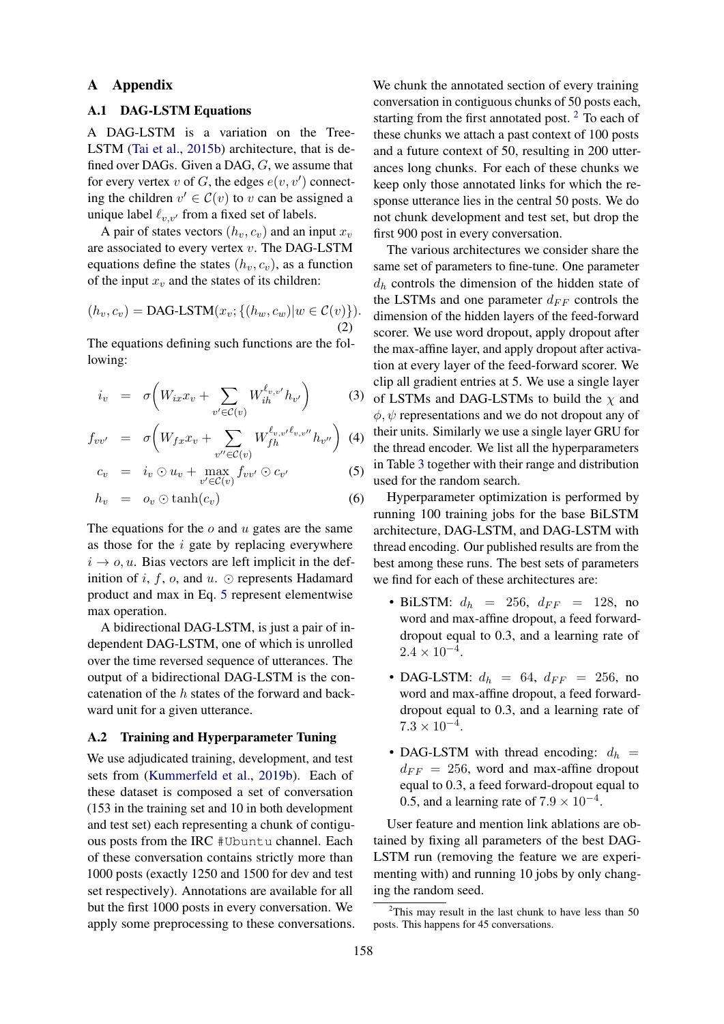### A Appendix

# A.1 DAG-LSTM Equations

A DAG-LSTM is a variation on the Tree-LSTM [\(Tai et al.,](#page-5-18) [2015b\)](#page-5-18) architecture, that is defined over DAGs. Given a DAG, G, we assume that for every vertex v of G, the edges  $e(v, v')$  connecting the children  $v' \in \mathcal{C}(v)$  to v can be assigned a unique label  $\ell_{v,v'}$  from a fixed set of labels.

A pair of states vectors  $(h_v, c_v)$  and an input  $x_v$ are associated to every vertex v. The DAG-LSTM equations define the states  $(h_v, c_v)$ , as a function of the input  $x_v$  and the states of its children:

$$
(h_v, c_v) = \text{DAG-LSTM}(x_v; \{(h_w, c_w) | w \in \mathcal{C}(v)\}).
$$
\n(2)

The equations defining such functions are the following:

<span id="page-6-0"></span>
$$
i_v = \sigma \bigg( W_{ix} x_v + \sum_{v' \in \mathcal{C}(v)} W_{ih}^{\ell_{v,v'}} h_{v'} \bigg) \tag{3}
$$

$$
f_{vv'} = \sigma \left( W_{fx} x_v + \sum_{v'' \in \mathcal{C}(v)} W_{fh}^{\ell_{v,v'}\ell_{v,v''}} h_{v''} \right) \tag{4}
$$

$$
c_v = i_v \odot u_v + \max_{v' \in \mathcal{C}(v)} f_{vv'} \odot c_{v'}
$$
 (5)

$$
h_v = o_v \odot \tanh(c_v) \tag{6}
$$

The equations for the  $o$  and  $u$  gates are the same as those for the  $i$  gate by replacing everywhere  $i \rightarrow o, u$ . Bias vectors are left implicit in the definition of i, f, o, and  $u$ .  $\odot$  represents Hadamard product and max in Eq. [5](#page-6-0) represent elementwise max operation.

A bidirectional DAG-LSTM, is just a pair of independent DAG-LSTM, one of which is unrolled over the time reversed sequence of utterances. The output of a bidirectional DAG-LSTM is the concatenation of the  $h$  states of the forward and backward unit for a given utterance.

### A.2 Training and Hyperparameter Tuning

We use adjudicated training, development, and test sets from [\(Kummerfeld et al.,](#page-5-14) [2019b\)](#page-5-14). Each of these dataset is composed a set of conversation (153 in the training set and 10 in both development and test set) each representing a chunk of contiguous posts from the IRC #Ubuntu channel. Each of these conversation contains strictly more than 1000 posts (exactly 1250 and 1500 for dev and test set respectively). Annotations are available for all but the first 1000 posts in every conversation. We apply some preprocessing to these conversations. We chunk the annotated section of every training conversation in contiguous chunks of 50 posts each, starting from the first annotated post.<sup>[2](#page-6-1)</sup> To each of these chunks we attach a past context of 100 posts and a future context of 50, resulting in 200 utterances long chunks. For each of these chunks we keep only those annotated links for which the response utterance lies in the central 50 posts. We do not chunk development and test set, but drop the first 900 post in every conversation.

The various architectures we consider share the same set of parameters to fine-tune. One parameter  $d_h$  controls the dimension of the hidden state of the LSTMs and one parameter  $d_{FF}$  controls the dimension of the hidden layers of the feed-forward scorer. We use word dropout, apply dropout after the max-affine layer, and apply dropout after activation at every layer of the feed-forward scorer. We clip all gradient entries at 5. We use a single layer of LSTMs and DAG-LSTMs to build the  $\chi$  and  $\phi, \psi$  representations and we do not dropout any of their units. Similarly we use a single layer GRU for the thread encoder. We list all the hyperparameters in Table [3](#page-7-0) together with their range and distribution used for the random search.

Hyperparameter optimization is performed by running 100 training jobs for the base BiLSTM architecture, DAG-LSTM, and DAG-LSTM with thread encoding. Our published results are from the best among these runs. The best sets of parameters we find for each of these architectures are:

- BiLSTM:  $d_h$  = 256,  $d_{FF}$  = 128, no word and max-affine dropout, a feed forwarddropout equal to 0.3, and a learning rate of  $2.4 \times 10^{-4}$ .
- DAG-LSTM:  $d_h = 64$ ,  $d_{FF} = 256$ , no word and max-affine dropout, a feed forwarddropout equal to 0.3, and a learning rate of  $7.3 \times 10^{-4}$ .
- DAG-LSTM with thread encoding:  $d_h$  =  $d_{FF}$  = 256, word and max-affine dropout equal to 0.3, a feed forward-dropout equal to 0.5, and a learning rate of  $7.9 \times 10^{-4}$ .

User feature and mention link ablations are obtained by fixing all parameters of the best DAG-LSTM run (removing the feature we are experimenting with) and running 10 jobs by only changing the random seed.

<span id="page-6-1"></span><sup>&</sup>lt;sup>2</sup>This may result in the last chunk to have less than 50 posts. This happens for 45 conversations.